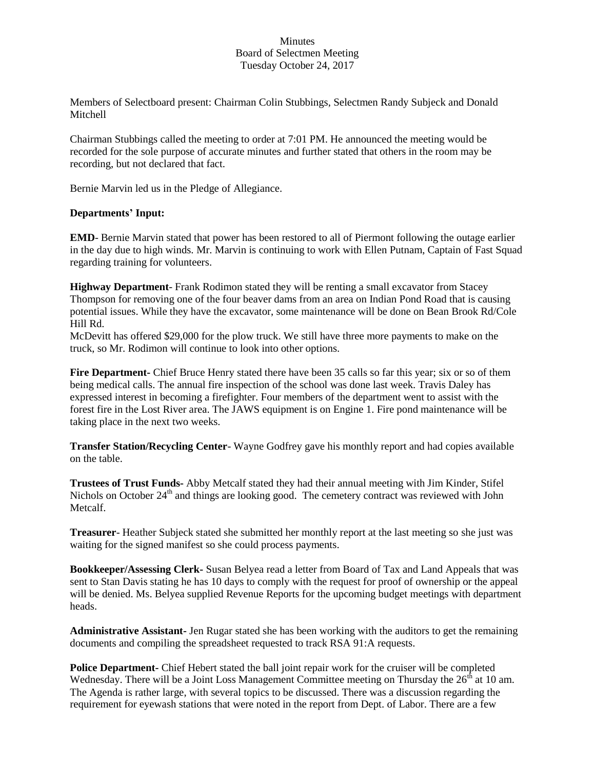## **Minutes** Board of Selectmen Meeting Tuesday October 24, 2017

Members of Selectboard present: Chairman Colin Stubbings, Selectmen Randy Subjeck and Donald Mitchell

Chairman Stubbings called the meeting to order at 7:01 PM. He announced the meeting would be recorded for the sole purpose of accurate minutes and further stated that others in the room may be recording, but not declared that fact.

Bernie Marvin led us in the Pledge of Allegiance.

## **Departments' Input:**

**EMD**- Bernie Marvin stated that power has been restored to all of Piermont following the outage earlier in the day due to high winds. Mr. Marvin is continuing to work with Ellen Putnam, Captain of Fast Squad regarding training for volunteers.

**Highway Department**- Frank Rodimon stated they will be renting a small excavator from Stacey Thompson for removing one of the four beaver dams from an area on Indian Pond Road that is causing potential issues. While they have the excavator, some maintenance will be done on Bean Brook Rd/Cole Hill Rd.

McDevitt has offered \$29,000 for the plow truck. We still have three more payments to make on the truck, so Mr. Rodimon will continue to look into other options.

**Fire Department-** Chief Bruce Henry stated there have been 35 calls so far this year; six or so of them being medical calls. The annual fire inspection of the school was done last week. Travis Daley has expressed interest in becoming a firefighter. Four members of the department went to assist with the forest fire in the Lost River area. The JAWS equipment is on Engine 1. Fire pond maintenance will be taking place in the next two weeks.

**Transfer Station/Recycling Center**- Wayne Godfrey gave his monthly report and had copies available on the table.

**Trustees of Trust Funds-** Abby Metcalf stated they had their annual meeting with Jim Kinder, Stifel Nichols on October  $24<sup>th</sup>$  and things are looking good. The cemetery contract was reviewed with John Metcalf.

**Treasurer**- Heather Subjeck stated she submitted her monthly report at the last meeting so she just was waiting for the signed manifest so she could process payments.

**Bookkeeper/Assessing Clerk-** Susan Belyea read a letter from Board of Tax and Land Appeals that was sent to Stan Davis stating he has 10 days to comply with the request for proof of ownership or the appeal will be denied. Ms. Belyea supplied Revenue Reports for the upcoming budget meetings with department heads.

**Administrative Assistant-** Jen Rugar stated she has been working with the auditors to get the remaining documents and compiling the spreadsheet requested to track RSA 91:A requests.

**Police Department-** Chief Hebert stated the ball joint repair work for the cruiser will be completed Wednesday. There will be a Joint Loss Management Committee meeting on Thursday the  $26<sup>th</sup>$  at 10 am. The Agenda is rather large, with several topics to be discussed. There was a discussion regarding the requirement for eyewash stations that were noted in the report from Dept. of Labor. There are a few